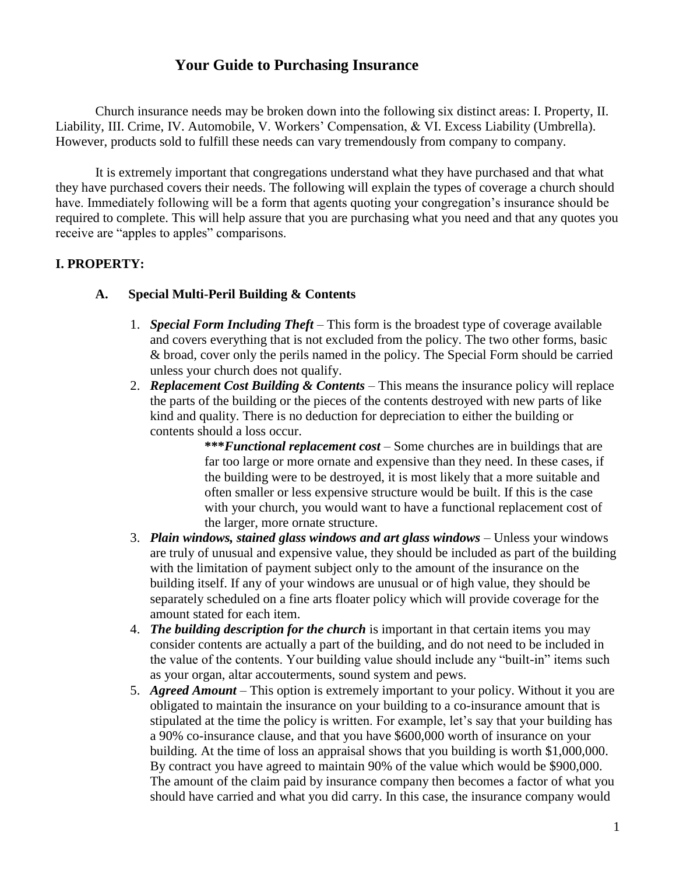# **Your Guide to Purchasing Insurance**

Church insurance needs may be broken down into the following six distinct areas: I. Property, II. Liability, III. Crime, IV. Automobile, V. Workers' Compensation, & VI. Excess Liability (Umbrella). However, products sold to fulfill these needs can vary tremendously from company to company.

It is extremely important that congregations understand what they have purchased and that what they have purchased covers their needs. The following will explain the types of coverage a church should have. Immediately following will be a form that agents quoting your congregation's insurance should be required to complete. This will help assure that you are purchasing what you need and that any quotes you receive are "apples to apples" comparisons.

### **I. PROPERTY:**

#### **A. Special Multi-Peril Building & Contents**

- 1. *Special Form Including Theft* This form is the broadest type of coverage available and covers everything that is not excluded from the policy. The two other forms, basic & broad, cover only the perils named in the policy. The Special Form should be carried unless your church does not qualify.
- 2. *Replacement Cost Building & Contents* This means the insurance policy will replace the parts of the building or the pieces of the contents destroyed with new parts of like kind and quality. There is no deduction for depreciation to either the building or contents should a loss occur.

**\*\*\****Functional replacement cost* – Some churches are in buildings that are far too large or more ornate and expensive than they need. In these cases, if the building were to be destroyed, it is most likely that a more suitable and often smaller or less expensive structure would be built. If this is the case with your church, you would want to have a functional replacement cost of the larger, more ornate structure.

- 3. *Plain windows, stained glass windows and art glass windows* Unless your windows are truly of unusual and expensive value, they should be included as part of the building with the limitation of payment subject only to the amount of the insurance on the building itself. If any of your windows are unusual or of high value, they should be separately scheduled on a fine arts floater policy which will provide coverage for the amount stated for each item.
- 4. *The building description for the church* is important in that certain items you may consider contents are actually a part of the building, and do not need to be included in the value of the contents. Your building value should include any "built-in" items such as your organ, altar accouterments, sound system and pews.
- 5. *Agreed Amount* This option is extremely important to your policy. Without it you are obligated to maintain the insurance on your building to a co-insurance amount that is stipulated at the time the policy is written. For example, let's say that your building has a 90% co-insurance clause, and that you have \$600,000 worth of insurance on your building. At the time of loss an appraisal shows that you building is worth \$1,000,000. By contract you have agreed to maintain 90% of the value which would be \$900,000. The amount of the claim paid by insurance company then becomes a factor of what you should have carried and what you did carry. In this case, the insurance company would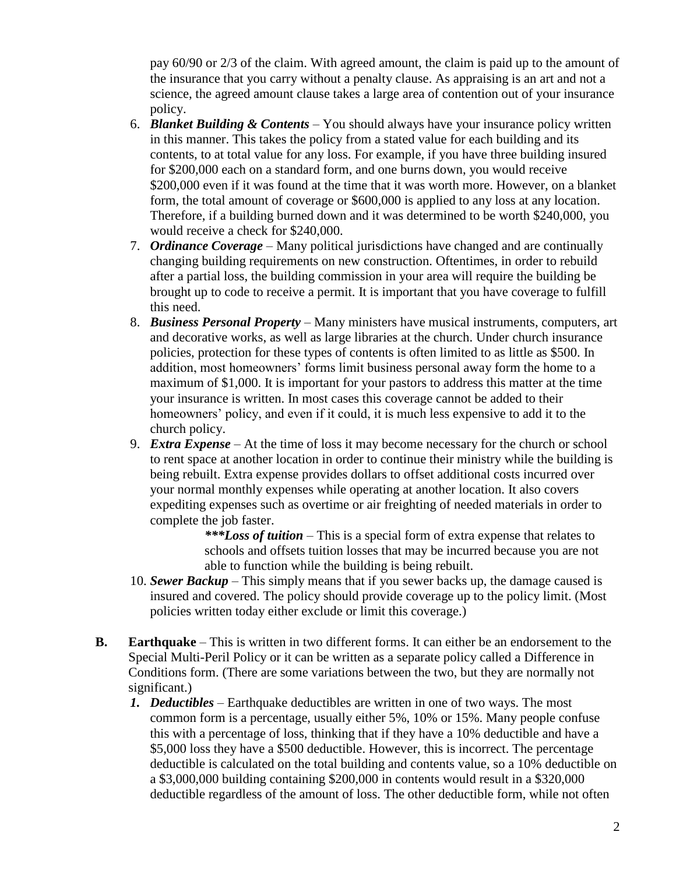pay 60/90 or 2/3 of the claim. With agreed amount, the claim is paid up to the amount of the insurance that you carry without a penalty clause. As appraising is an art and not a science, the agreed amount clause takes a large area of contention out of your insurance policy.

- 6. *Blanket Building & Contents* You should always have your insurance policy written in this manner. This takes the policy from a stated value for each building and its contents, to at total value for any loss. For example, if you have three building insured for \$200,000 each on a standard form, and one burns down, you would receive \$200,000 even if it was found at the time that it was worth more. However, on a blanket form, the total amount of coverage or \$600,000 is applied to any loss at any location. Therefore, if a building burned down and it was determined to be worth \$240,000, you would receive a check for \$240,000.
- 7. *Ordinance Coverage* Many political jurisdictions have changed and are continually changing building requirements on new construction. Oftentimes, in order to rebuild after a partial loss, the building commission in your area will require the building be brought up to code to receive a permit. It is important that you have coverage to fulfill this need.
- 8. *Business Personal Property* Many ministers have musical instruments, computers, art and decorative works, as well as large libraries at the church. Under church insurance policies, protection for these types of contents is often limited to as little as \$500. In addition, most homeowners' forms limit business personal away form the home to a maximum of \$1,000. It is important for your pastors to address this matter at the time your insurance is written. In most cases this coverage cannot be added to their homeowners' policy, and even if it could, it is much less expensive to add it to the church policy.
- 9. *Extra Expense* At the time of loss it may become necessary for the church or school to rent space at another location in order to continue their ministry while the building is being rebuilt. Extra expense provides dollars to offset additional costs incurred over your normal monthly expenses while operating at another location. It also covers expediting expenses such as overtime or air freighting of needed materials in order to complete the job faster.

*\*\*\*Loss of tuition* – This is a special form of extra expense that relates to schools and offsets tuition losses that may be incurred because you are not able to function while the building is being rebuilt.

- 10. *Sewer Backup* This simply means that if you sewer backs up, the damage caused is insured and covered. The policy should provide coverage up to the policy limit. (Most policies written today either exclude or limit this coverage.)
- **B. Earthquake** This is written in two different forms. It can either be an endorsement to the Special Multi-Peril Policy or it can be written as a separate policy called a Difference in Conditions form. (There are some variations between the two, but they are normally not significant.)
	- *1. Deductibles* Earthquake deductibles are written in one of two ways. The most common form is a percentage, usually either 5%, 10% or 15%. Many people confuse this with a percentage of loss, thinking that if they have a 10% deductible and have a \$5,000 loss they have a \$500 deductible. However, this is incorrect. The percentage deductible is calculated on the total building and contents value, so a 10% deductible on a \$3,000,000 building containing \$200,000 in contents would result in a \$320,000 deductible regardless of the amount of loss. The other deductible form, while not often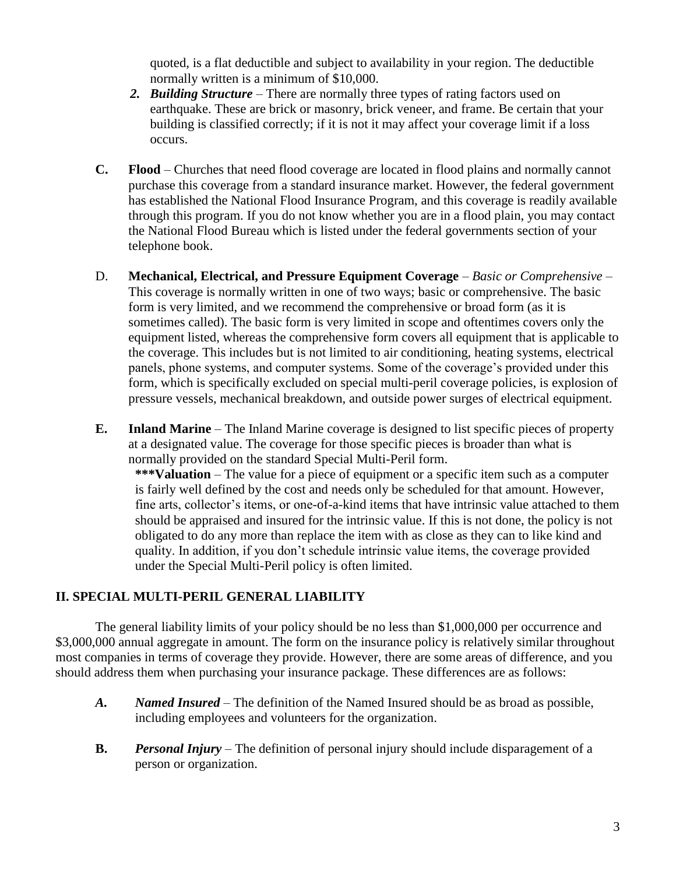quoted, is a flat deductible and subject to availability in your region. The deductible normally written is a minimum of \$10,000.

- *2. Building Structure* There are normally three types of rating factors used on earthquake. These are brick or masonry, brick veneer, and frame. Be certain that your building is classified correctly; if it is not it may affect your coverage limit if a loss occurs.
- **C. Flood** Churches that need flood coverage are located in flood plains and normally cannot purchase this coverage from a standard insurance market. However, the federal government has established the National Flood Insurance Program, and this coverage is readily available through this program. If you do not know whether you are in a flood plain, you may contact the National Flood Bureau which is listed under the federal governments section of your telephone book.
- D. **Mechanical, Electrical, and Pressure Equipment Coverage** *Basic or Comprehensive* This coverage is normally written in one of two ways; basic or comprehensive. The basic form is very limited, and we recommend the comprehensive or broad form (as it is sometimes called). The basic form is very limited in scope and oftentimes covers only the equipment listed, whereas the comprehensive form covers all equipment that is applicable to the coverage. This includes but is not limited to air conditioning, heating systems, electrical panels, phone systems, and computer systems. Some of the coverage's provided under this form, which is specifically excluded on special multi-peril coverage policies, is explosion of pressure vessels, mechanical breakdown, and outside power surges of electrical equipment.
- **E. Inland Marine** The Inland Marine coverage is designed to list specific pieces of property at a designated value. The coverage for those specific pieces is broader than what is normally provided on the standard Special Multi-Peril form.

**\*\*\*Valuation** – The value for a piece of equipment or a specific item such as a computer is fairly well defined by the cost and needs only be scheduled for that amount. However, fine arts, collector's items, or one-of-a-kind items that have intrinsic value attached to them should be appraised and insured for the intrinsic value. If this is not done, the policy is not obligated to do any more than replace the item with as close as they can to like kind and quality. In addition, if you don't schedule intrinsic value items, the coverage provided under the Special Multi-Peril policy is often limited.

#### **II. SPECIAL MULTI-PERIL GENERAL LIABILITY**

The general liability limits of your policy should be no less than \$1,000,000 per occurrence and \$3,000,000 annual aggregate in amount. The form on the insurance policy is relatively similar throughout most companies in terms of coverage they provide. However, there are some areas of difference, and you should address them when purchasing your insurance package. These differences are as follows:

- *A. Named Insured* The definition of the Named Insured should be as broad as possible, including employees and volunteers for the organization.
- **B.** *Personal Injury* The definition of personal injury should include disparagement of a person or organization.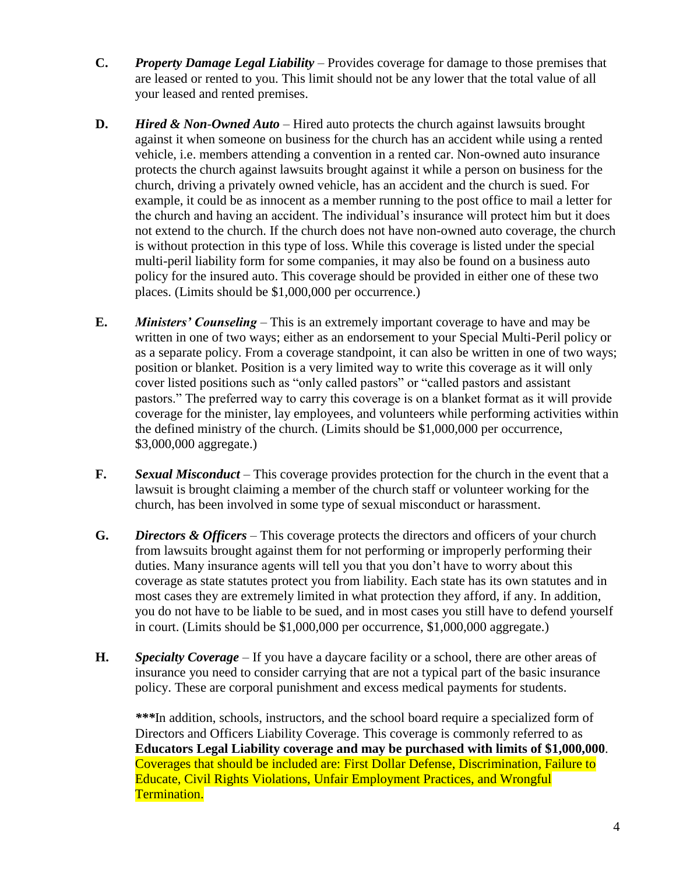- **C.** *Property Damage Legal Liability* Provides coverage for damage to those premises that are leased or rented to you. This limit should not be any lower that the total value of all your leased and rented premises.
- **D.** *Hired & Non*-*Owned Auto*  Hired auto protects the church against lawsuits brought against it when someone on business for the church has an accident while using a rented vehicle, i.e. members attending a convention in a rented car. Non-owned auto insurance protects the church against lawsuits brought against it while a person on business for the church, driving a privately owned vehicle, has an accident and the church is sued. For example, it could be as innocent as a member running to the post office to mail a letter for the church and having an accident. The individual's insurance will protect him but it does not extend to the church. If the church does not have non-owned auto coverage, the church is without protection in this type of loss. While this coverage is listed under the special multi-peril liability form for some companies, it may also be found on a business auto policy for the insured auto. This coverage should be provided in either one of these two places. (Limits should be \$1,000,000 per occurrence.)
- **E.** *Ministers' Counseling*  This is an extremely important coverage to have and may be written in one of two ways; either as an endorsement to your Special Multi-Peril policy or as a separate policy. From a coverage standpoint, it can also be written in one of two ways; position or blanket. Position is a very limited way to write this coverage as it will only cover listed positions such as "only called pastors" or "called pastors and assistant pastors." The preferred way to carry this coverage is on a blanket format as it will provide coverage for the minister, lay employees, and volunteers while performing activities within the defined ministry of the church. (Limits should be \$1,000,000 per occurrence, \$3,000,000 aggregate.)
- **F.** *Sexual Misconduct* This coverage provides protection for the church in the event that a lawsuit is brought claiming a member of the church staff or volunteer working for the church, has been involved in some type of sexual misconduct or harassment.
- **G.** *Directors & Officers* This coverage protects the directors and officers of your church from lawsuits brought against them for not performing or improperly performing their duties. Many insurance agents will tell you that you don't have to worry about this coverage as state statutes protect you from liability. Each state has its own statutes and in most cases they are extremely limited in what protection they afford, if any. In addition, you do not have to be liable to be sued, and in most cases you still have to defend yourself in court. (Limits should be \$1,000,000 per occurrence, \$1,000,000 aggregate.)
- **H.** *Specialty Coverage* If you have a daycare facility or a school, there are other areas of insurance you need to consider carrying that are not a typical part of the basic insurance policy. These are corporal punishment and excess medical payments for students.

*\*\*\**In addition, schools, instructors, and the school board require a specialized form of Directors and Officers Liability Coverage. This coverage is commonly referred to as **Educators Legal Liability coverage and may be purchased with limits of \$1,000,000**. Coverages that should be included are: First Dollar Defense, Discrimination, Failure to Educate, Civil Rights Violations, Unfair Employment Practices, and Wrongful Termination.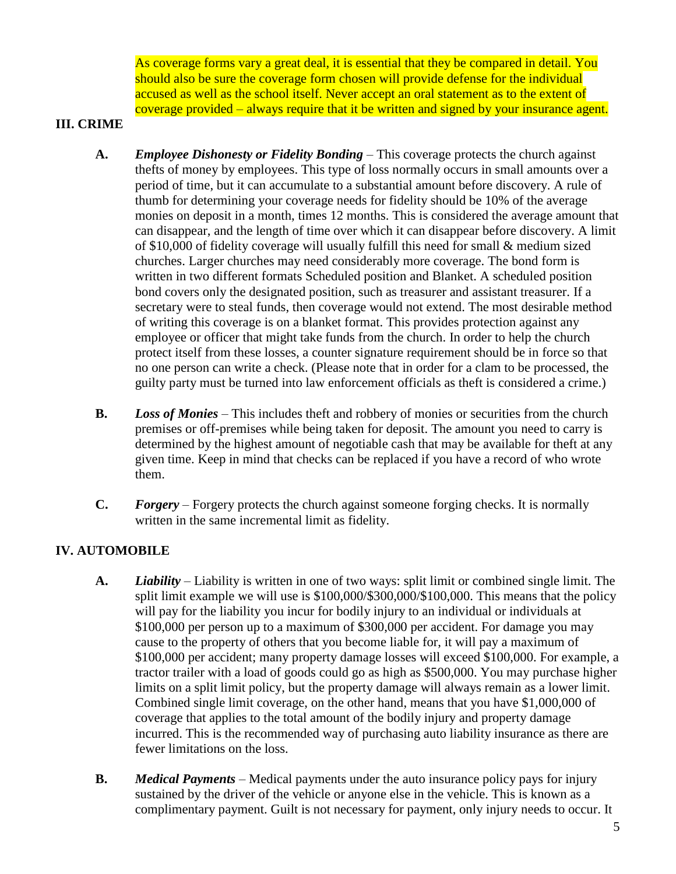As coverage forms vary a great deal, it is essential that they be compared in detail. You should also be sure the coverage form chosen will provide defense for the individual accused as well as the school itself. Never accept an oral statement as to the extent of coverage provided – always require that it be written and signed by your insurance agent.

### **III. CRIME**

- **A.** *Employee Dishonesty or Fidelity Bonding*  This coverage protects the church against thefts of money by employees. This type of loss normally occurs in small amounts over a period of time, but it can accumulate to a substantial amount before discovery. A rule of thumb for determining your coverage needs for fidelity should be 10% of the average monies on deposit in a month, times 12 months. This is considered the average amount that can disappear, and the length of time over which it can disappear before discovery. A limit of \$10,000 of fidelity coverage will usually fulfill this need for small & medium sized churches. Larger churches may need considerably more coverage. The bond form is written in two different formats Scheduled position and Blanket. A scheduled position bond covers only the designated position, such as treasurer and assistant treasurer. If a secretary were to steal funds, then coverage would not extend. The most desirable method of writing this coverage is on a blanket format. This provides protection against any employee or officer that might take funds from the church. In order to help the church protect itself from these losses, a counter signature requirement should be in force so that no one person can write a check. (Please note that in order for a clam to be processed, the guilty party must be turned into law enforcement officials as theft is considered a crime.)
- **B.** *Loss of Monies* This includes theft and robbery of monies or securities from the church premises or off-premises while being taken for deposit. The amount you need to carry is determined by the highest amount of negotiable cash that may be available for theft at any given time. Keep in mind that checks can be replaced if you have a record of who wrote them.
- **C.** *Forgery* Forgery protects the church against someone forging checks. It is normally written in the same incremental limit as fidelity.

## **IV. AUTOMOBILE**

- **A.** *Liability* Liability is written in one of two ways: split limit or combined single limit. The split limit example we will use is \$100,000/\$300,000/\$100,000. This means that the policy will pay for the liability you incur for bodily injury to an individual or individuals at \$100,000 per person up to a maximum of \$300,000 per accident. For damage you may cause to the property of others that you become liable for, it will pay a maximum of \$100,000 per accident; many property damage losses will exceed \$100,000. For example, a tractor trailer with a load of goods could go as high as \$500,000. You may purchase higher limits on a split limit policy, but the property damage will always remain as a lower limit. Combined single limit coverage, on the other hand, means that you have \$1,000,000 of coverage that applies to the total amount of the bodily injury and property damage incurred. This is the recommended way of purchasing auto liability insurance as there are fewer limitations on the loss.
- **B.** *Medical Payments* Medical payments under the auto insurance policy pays for injury sustained by the driver of the vehicle or anyone else in the vehicle. This is known as a complimentary payment. Guilt is not necessary for payment, only injury needs to occur. It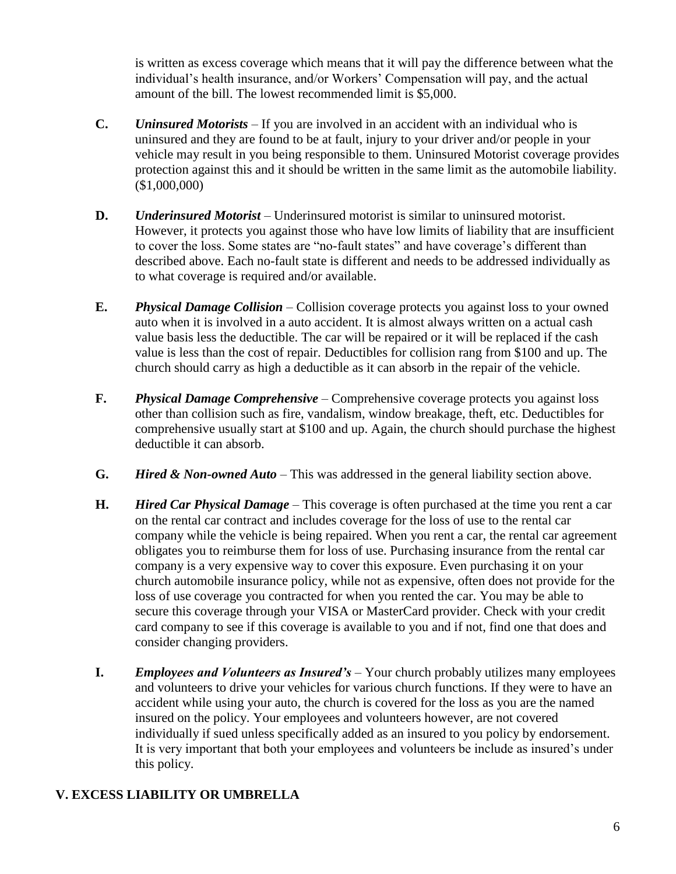is written as excess coverage which means that it will pay the difference between what the individual's health insurance, and/or Workers' Compensation will pay, and the actual amount of the bill. The lowest recommended limit is \$5,000.

- **C.** *Uninsured Motorists* If you are involved in an accident with an individual who is uninsured and they are found to be at fault, injury to your driver and/or people in your vehicle may result in you being responsible to them. Uninsured Motorist coverage provides protection against this and it should be written in the same limit as the automobile liability. (\$1,000,000)
- **D.** *Underinsured Motorist* Underinsured motorist is similar to uninsured motorist. However, it protects you against those who have low limits of liability that are insufficient to cover the loss. Some states are "no-fault states" and have coverage's different than described above. Each no-fault state is different and needs to be addressed individually as to what coverage is required and/or available.
- **E.** *Physical Damage Collision*  Collision coverage protects you against loss to your owned auto when it is involved in a auto accident. It is almost always written on a actual cash value basis less the deductible. The car will be repaired or it will be replaced if the cash value is less than the cost of repair. Deductibles for collision rang from \$100 and up. The church should carry as high a deductible as it can absorb in the repair of the vehicle.
- **F.** *Physical Damage Comprehensive* Comprehensive coverage protects you against loss other than collision such as fire, vandalism, window breakage, theft, etc. Deductibles for comprehensive usually start at \$100 and up. Again, the church should purchase the highest deductible it can absorb.
- **G.** *Hired & Non-owned Auto* This was addressed in the general liability section above.
- **H.** *Hired Car Physical Damage* This coverage is often purchased at the time you rent a car on the rental car contract and includes coverage for the loss of use to the rental car company while the vehicle is being repaired. When you rent a car, the rental car agreement obligates you to reimburse them for loss of use. Purchasing insurance from the rental car company is a very expensive way to cover this exposure. Even purchasing it on your church automobile insurance policy, while not as expensive, often does not provide for the loss of use coverage you contracted for when you rented the car. You may be able to secure this coverage through your VISA or MasterCard provider. Check with your credit card company to see if this coverage is available to you and if not, find one that does and consider changing providers.
- **I.** *Employees and Volunteers as Insured's* Your church probably utilizes many employees and volunteers to drive your vehicles for various church functions. If they were to have an accident while using your auto, the church is covered for the loss as you are the named insured on the policy. Your employees and volunteers however, are not covered individually if sued unless specifically added as an insured to you policy by endorsement. It is very important that both your employees and volunteers be include as insured's under this policy.

## **V. EXCESS LIABILITY OR UMBRELLA**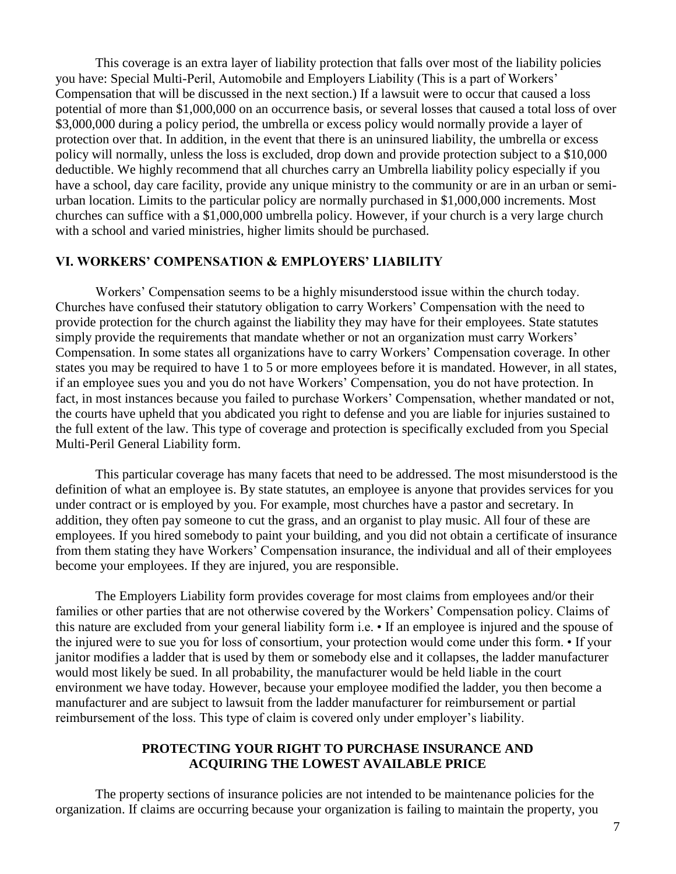This coverage is an extra layer of liability protection that falls over most of the liability policies you have: Special Multi-Peril, Automobile and Employers Liability (This is a part of Workers' Compensation that will be discussed in the next section.) If a lawsuit were to occur that caused a loss potential of more than \$1,000,000 on an occurrence basis, or several losses that caused a total loss of over \$3,000,000 during a policy period, the umbrella or excess policy would normally provide a layer of protection over that. In addition, in the event that there is an uninsured liability, the umbrella or excess policy will normally, unless the loss is excluded, drop down and provide protection subject to a \$10,000 deductible. We highly recommend that all churches carry an Umbrella liability policy especially if you have a school, day care facility, provide any unique ministry to the community or are in an urban or semiurban location. Limits to the particular policy are normally purchased in \$1,000,000 increments. Most churches can suffice with a \$1,000,000 umbrella policy. However, if your church is a very large church with a school and varied ministries, higher limits should be purchased.

#### **VI. WORKERS' COMPENSATION & EMPLOYERS' LIABILITY**

Workers' Compensation seems to be a highly misunderstood issue within the church today. Churches have confused their statutory obligation to carry Workers' Compensation with the need to provide protection for the church against the liability they may have for their employees. State statutes simply provide the requirements that mandate whether or not an organization must carry Workers' Compensation. In some states all organizations have to carry Workers' Compensation coverage. In other states you may be required to have 1 to 5 or more employees before it is mandated. However, in all states, if an employee sues you and you do not have Workers' Compensation, you do not have protection. In fact, in most instances because you failed to purchase Workers' Compensation, whether mandated or not, the courts have upheld that you abdicated you right to defense and you are liable for injuries sustained to the full extent of the law. This type of coverage and protection is specifically excluded from you Special Multi-Peril General Liability form.

This particular coverage has many facets that need to be addressed. The most misunderstood is the definition of what an employee is. By state statutes, an employee is anyone that provides services for you under contract or is employed by you. For example, most churches have a pastor and secretary. In addition, they often pay someone to cut the grass, and an organist to play music. All four of these are employees. If you hired somebody to paint your building, and you did not obtain a certificate of insurance from them stating they have Workers' Compensation insurance, the individual and all of their employees become your employees. If they are injured, you are responsible.

The Employers Liability form provides coverage for most claims from employees and/or their families or other parties that are not otherwise covered by the Workers' Compensation policy. Claims of this nature are excluded from your general liability form i.e. • If an employee is injured and the spouse of the injured were to sue you for loss of consortium, your protection would come under this form. • If your janitor modifies a ladder that is used by them or somebody else and it collapses, the ladder manufacturer would most likely be sued. In all probability, the manufacturer would be held liable in the court environment we have today. However, because your employee modified the ladder, you then become a manufacturer and are subject to lawsuit from the ladder manufacturer for reimbursement or partial reimbursement of the loss. This type of claim is covered only under employer's liability.

#### **PROTECTING YOUR RIGHT TO PURCHASE INSURANCE AND ACQUIRING THE LOWEST AVAILABLE PRICE**

The property sections of insurance policies are not intended to be maintenance policies for the organization. If claims are occurring because your organization is failing to maintain the property, you